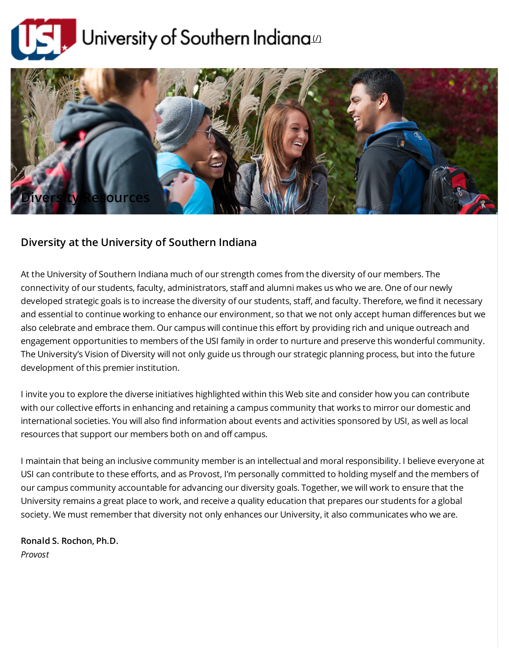



## Diversity at the University of Southern Indiana

At the University of Southern Indiana much of our strength comes from the diversity of our members. The connectivity of our students, faculty, administrators, staff and alumni makes us who we are. One of our newly developed strategic goals is to increase the diversity of our students, staff, and faculty. Therefore, we find it necessary and essential to continue working to enhance our environment, so that we not only accept human differences but we also celebrate and embrace them. Our campus will continue this effort by providing rich and unique outreach and engagement opportunities to members of the USI family in order to nurture and preserve this wonderful community. The University's Vision of Diversity will not only guide us through our strategic planning process, but into the future development of this premier institution.

I invite you to explore the diverse initiatives highlighted within this Web site and consider how you can contribute with our collective efforts in enhancing and retaining a campus community that works to mirror our domestic and international societies. You will also find information about events and activities sponsored by USI, as well as local resources that support our members both on and off campus.

I maintain that being an inclusive community member is an intellectual and moral responsibility. I believe everyone at USI can contribute to these efforts, and as Provost, I'm personally committed to holding myself and the members of our campus community accountable for advancing our diversity goals. Together, we will work to ensure that the University remains a great place to work, and receive a quality education that prepares our students for a global society. We must remember that diversity not only enhances our University, it also communicates who we are.

Ronald S. Rochon, Ph.D. Provost